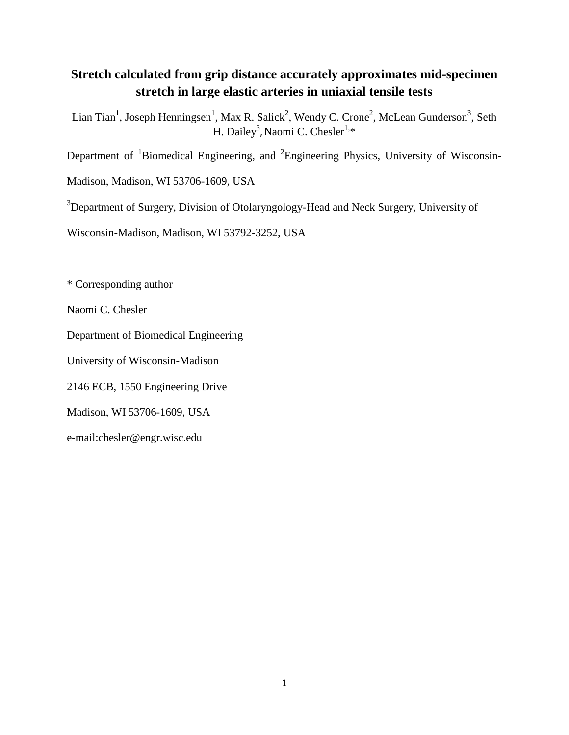# **Stretch calculated from grip distance accurately approximates mid-specimen stretch in large elastic arteries in uniaxial tensile tests**

Lian Tian<sup>1</sup>, Joseph Henningsen<sup>1</sup>, Max R. Salick<sup>2</sup>, Wendy C. Crone<sup>2</sup>, McLean Gunderson<sup>3</sup>, Seth H. Dailey<sup>3</sup>, Naomi C. Chesler<sup>1,\*</sup>

Department of  $\mathrm{^{1}Biomedical}$  Engineering, and  $\mathrm{^{2}Engineering}$  Physics, University of Wisconsin-

Madison, Madison, WI 53706-1609, USA

<sup>3</sup>Department of Surgery, Division of Otolaryngology-Head and Neck Surgery, University of

Wisconsin-Madison, Madison, WI 53792-3252, USA

\* Corresponding author

Naomi C. Chesler

Department of Biomedical Engineering

University of Wisconsin-Madison

2146 ECB, 1550 Engineering Drive

Madison, WI 53706-1609, USA

e-mail:chesler@engr.wisc.edu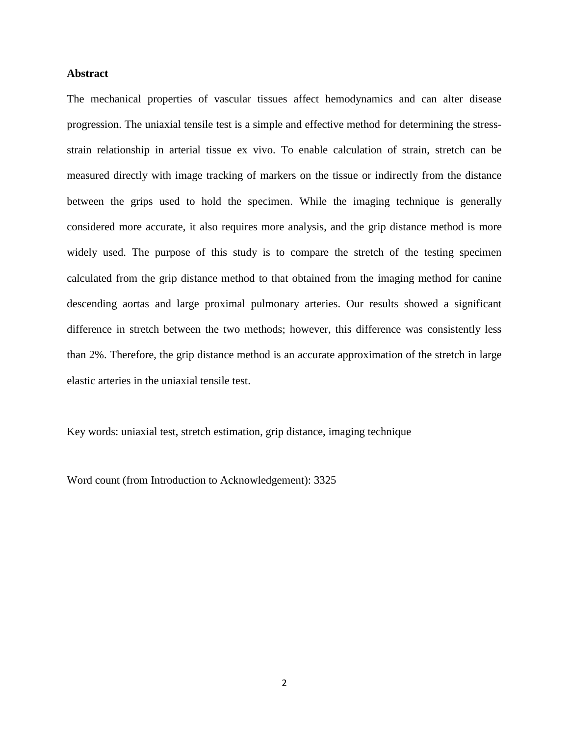# **Abstract**

The mechanical properties of vascular tissues affect hemodynamics and can alter disease progression. The uniaxial tensile test is a simple and effective method for determining the stressstrain relationship in arterial tissue ex vivo. To enable calculation of strain, stretch can be measured directly with image tracking of markers on the tissue or indirectly from the distance between the grips used to hold the specimen. While the imaging technique is generally considered more accurate, it also requires more analysis, and the grip distance method is more widely used. The purpose of this study is to compare the stretch of the testing specimen calculated from the grip distance method to that obtained from the imaging method for canine descending aortas and large proximal pulmonary arteries. Our results showed a significant difference in stretch between the two methods; however, this difference was consistently less than 2%. Therefore, the grip distance method is an accurate approximation of the stretch in large elastic arteries in the uniaxial tensile test.

Key words: uniaxial test, stretch estimation, grip distance, imaging technique

Word count (from Introduction to Acknowledgement): 3325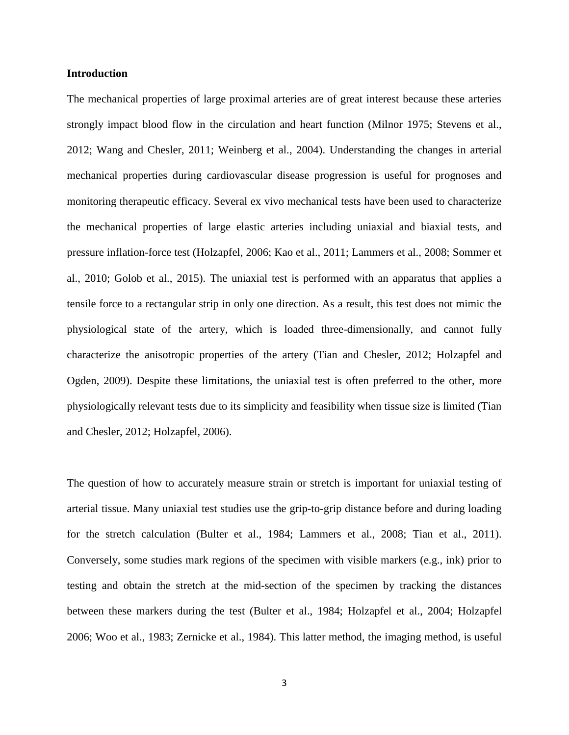# **Introduction**

The mechanical properties of large proximal arteries are of great interest because these arteries strongly impact blood flow in the circulation and heart function (Milnor 1975; Stevens et al., 2012; Wang and Chesler, 2011; Weinberg et al., 2004). Understanding the changes in arterial mechanical properties during cardiovascular disease progression is useful for prognoses and monitoring therapeutic efficacy. Several ex vivo mechanical tests have been used to characterize the mechanical properties of large elastic arteries including uniaxial and biaxial tests, and pressure inflation-force test (Holzapfel, 2006; Kao et al., 2011; Lammers et al., 2008; Sommer et al., 2010; Golob et al., 2015). The uniaxial test is performed with an apparatus that applies a tensile force to a rectangular strip in only one direction. As a result, this test does not mimic the physiological state of the artery, which is loaded three-dimensionally, and cannot fully characterize the anisotropic properties of the artery (Tian and Chesler, 2012; Holzapfel and Ogden, 2009). Despite these limitations, the uniaxial test is often preferred to the other, more physiologically relevant tests due to its simplicity and feasibility when tissue size is limited (Tian and Chesler, 2012; Holzapfel, 2006).

The question of how to accurately measure strain or stretch is important for uniaxial testing of arterial tissue. Many uniaxial test studies use the grip-to-grip distance before and during loading for the stretch calculation (Bulter et al., 1984; Lammers et al., 2008; Tian et al., 2011). Conversely, some studies mark regions of the specimen with visible markers (e.g., ink) prior to testing and obtain the stretch at the mid-section of the specimen by tracking the distances between these markers during the test (Bulter et al., 1984; Holzapfel et al., 2004; Holzapfel 2006; Woo et al., 1983; Zernicke et al., 1984). This latter method, the imaging method, is useful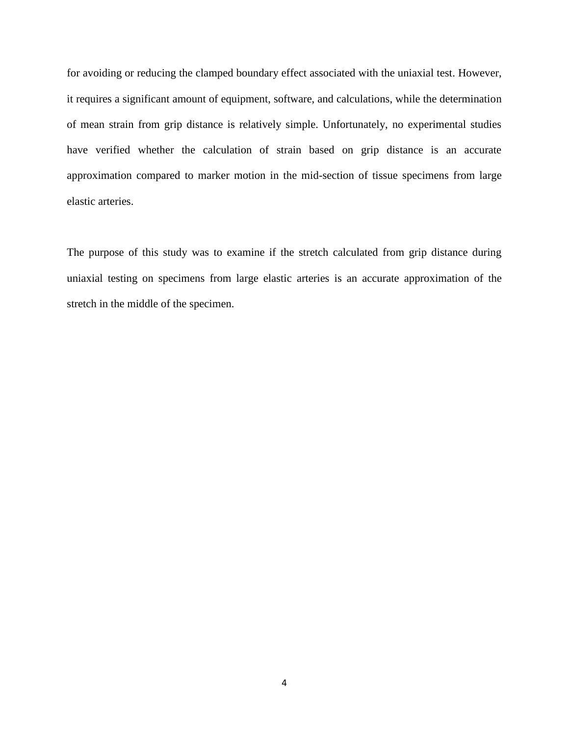for avoiding or reducing the clamped boundary effect associated with the uniaxial test. However, it requires a significant amount of equipment, software, and calculations, while the determination of mean strain from grip distance is relatively simple. Unfortunately, no experimental studies have verified whether the calculation of strain based on grip distance is an accurate approximation compared to marker motion in the mid-section of tissue specimens from large elastic arteries.

The purpose of this study was to examine if the stretch calculated from grip distance during uniaxial testing on specimens from large elastic arteries is an accurate approximation of the stretch in the middle of the specimen.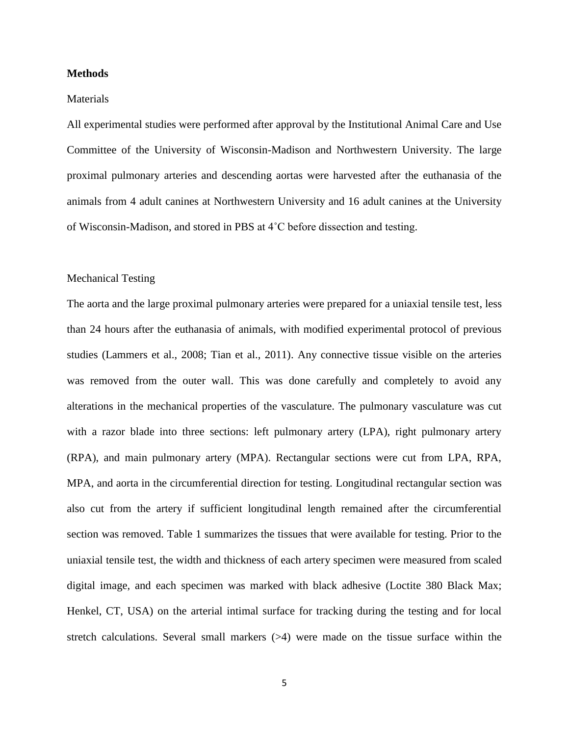#### **Methods**

#### **Materials**

All experimental studies were performed after approval by the Institutional Animal Care and Use Committee of the University of Wisconsin-Madison and Northwestern University. The large proximal pulmonary arteries and descending aortas were harvested after the euthanasia of the animals from 4 adult canines at Northwestern University and 16 adult canines at the University of Wisconsin-Madison, and stored in PBS at 4˚C before dissection and testing.

# Mechanical Testing

The aorta and the large proximal pulmonary arteries were prepared for a uniaxial tensile test, less than 24 hours after the euthanasia of animals, with modified experimental protocol of previous studies (Lammers et al., 2008; Tian et al., 2011). Any connective tissue visible on the arteries was removed from the outer wall. This was done carefully and completely to avoid any alterations in the mechanical properties of the vasculature. The pulmonary vasculature was cut with a razor blade into three sections: left pulmonary artery (LPA), right pulmonary artery (RPA), and main pulmonary artery (MPA). Rectangular sections were cut from LPA, RPA, MPA, and aorta in the circumferential direction for testing. Longitudinal rectangular section was also cut from the artery if sufficient longitudinal length remained after the circumferential section was removed. Table 1 summarizes the tissues that were available for testing. Prior to the uniaxial tensile test, the width and thickness of each artery specimen were measured from scaled digital image, and each specimen was marked with black adhesive (Loctite 380 Black Max; Henkel, CT, USA) on the arterial intimal surface for tracking during the testing and for local stretch calculations. Several small markers  $(>4)$  were made on the tissue surface within the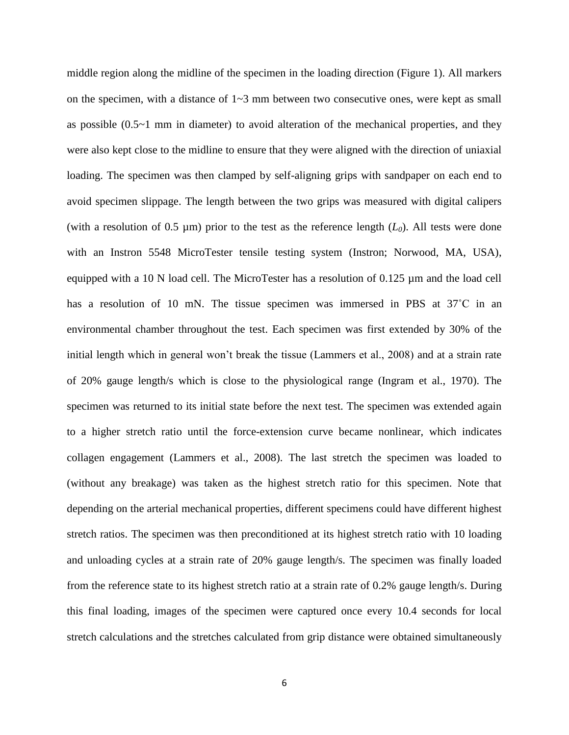middle region along the midline of the specimen in the loading direction (Figure 1). All markers on the specimen, with a distance of  $1~3$  mm between two consecutive ones, were kept as small as possible (0.5~1 mm in diameter) to avoid alteration of the mechanical properties, and they were also kept close to the midline to ensure that they were aligned with the direction of uniaxial loading. The specimen was then clamped by self-aligning grips with sandpaper on each end to avoid specimen slippage. The length between the two grips was measured with digital calipers (with a resolution of 0.5  $\mu$ m) prior to the test as the reference length  $(L_0)$ . All tests were done with an Instron 5548 MicroTester tensile testing system (Instron; Norwood, MA, USA), equipped with a 10 N load cell. The MicroTester has a resolution of 0.125 µm and the load cell has a resolution of 10 mN. The tissue specimen was immersed in PBS at 37<sup>°</sup>C in an environmental chamber throughout the test. Each specimen was first extended by 30% of the initial length which in general won't break the tissue (Lammers et al., 2008) and at a strain rate of 20% gauge length/s which is close to the physiological range (Ingram et al., 1970). The specimen was returned to its initial state before the next test. The specimen was extended again to a higher stretch ratio until the force-extension curve became nonlinear, which indicates collagen engagement (Lammers et al., 2008). The last stretch the specimen was loaded to (without any breakage) was taken as the highest stretch ratio for this specimen. Note that depending on the arterial mechanical properties, different specimens could have different highest stretch ratios. The specimen was then preconditioned at its highest stretch ratio with 10 loading and unloading cycles at a strain rate of 20% gauge length/s. The specimen was finally loaded from the reference state to its highest stretch ratio at a strain rate of 0.2% gauge length/s. During this final loading, images of the specimen were captured once every 10.4 seconds for local stretch calculations and the stretches calculated from grip distance were obtained simultaneously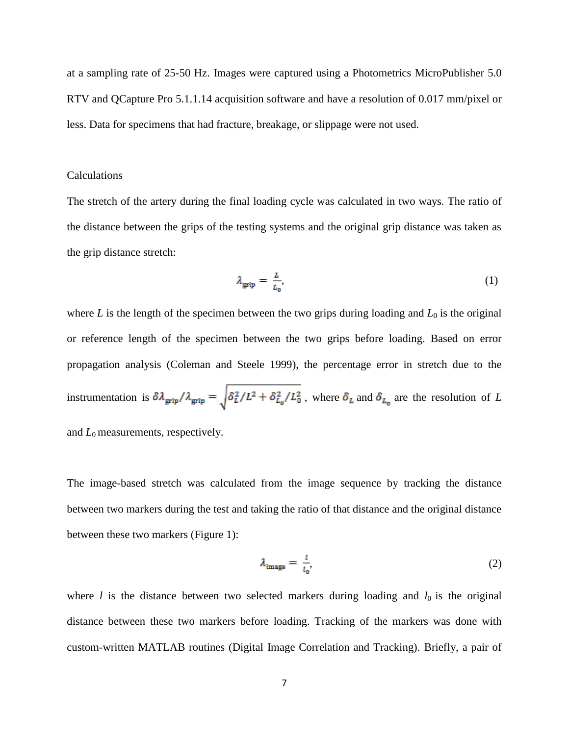at a sampling rate of 25-50 Hz. Images were captured using a Photometrics MicroPublisher 5.0 RTV and QCapture Pro 5.1.1.14 acquisition software and have a resolution of 0.017 mm/pixel or less. Data for specimens that had fracture, breakage, or slippage were not used.

#### Calculations

The stretch of the artery during the final loading cycle was calculated in two ways. The ratio of the distance between the grips of the testing systems and the original grip distance was taken as the grip distance stretch:

$$
\lambda_{\text{grip}} = \frac{L}{L_0},\tag{1}
$$

where  $L$  is the length of the specimen between the two grips during loading and  $L_0$  is the original or reference length of the specimen between the two grips before loading. Based on error propagation analysis (Coleman and Steele 1999), the percentage error in stretch due to the instrumentation is  $\delta \lambda_{\rm{grip}}/\lambda_{\rm{grip}} = \sqrt{\delta_L^2/L^2 + \delta_{L_0}^2/L_0^2}$ , where  $\delta_L$  and  $\delta_{L_0}$  are the resolution of *L* 

and  $L_0$  measurements, respectively.

The image-based stretch was calculated from the image sequence by tracking the distance between two markers during the test and taking the ratio of that distance and the original distance between these two markers (Figure 1):

$$
\lambda_{\text{image}} = \frac{l}{l_0},\tag{2}
$$

where  $l$  is the distance between two selected markers during loading and  $l_0$  is the original distance between these two markers before loading. Tracking of the markers was done with custom-written MATLAB routines (Digital Image Correlation and Tracking). Briefly, a pair of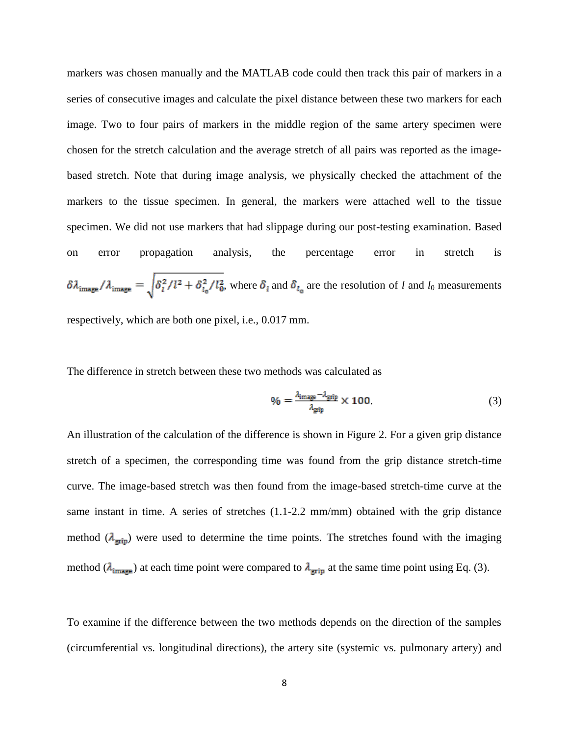markers was chosen manually and the MATLAB code could then track this pair of markers in a series of consecutive images and calculate the pixel distance between these two markers for each image. Two to four pairs of markers in the middle region of the same artery specimen were chosen for the stretch calculation and the average stretch of all pairs was reported as the imagebased stretch. Note that during image analysis, we physically checked the attachment of the markers to the tissue specimen. In general, the markers were attached well to the tissue specimen. We did not use markers that had slippage during our post-testing examination. Based on error propagation analysis, the percentage error in stretch is  $\delta \lambda_{\text{image}}/\lambda_{\text{image}} = \sqrt{\delta_l^2/l^2 + \delta_{l_0}^2/l_0^2}$ , where  $\delta_l$  and  $\delta_{l_0}$  are the resolution of *l* and *l*<sub>0</sub> measurements respectively, which are both one pixel, i.e., 0.017 mm.

The difference in stretch between these two methods was calculated as

$$
\% = \frac{\lambda_{\text{image}} - \lambda_{\text{grip}}}{\lambda_{\text{grip}}} \times 100. \tag{3}
$$

An illustration of the calculation of the difference is shown in Figure 2. For a given grip distance stretch of a specimen, the corresponding time was found from the grip distance stretch-time curve. The image-based stretch was then found from the image-based stretch-time curve at the same instant in time. A series of stretches  $(1.1-2.2 \text{ mm/mm})$  obtained with the grip distance method  $(\lambda_{\text{grip}})$  were used to determine the time points. The stretches found with the imaging method ( $\lambda_{\text{image}}$ ) at each time point were compared to  $\lambda_{\text{ grip}}$  at the same time point using Eq. (3).

To examine if the difference between the two methods depends on the direction of the samples (circumferential vs. longitudinal directions), the artery site (systemic vs. pulmonary artery) and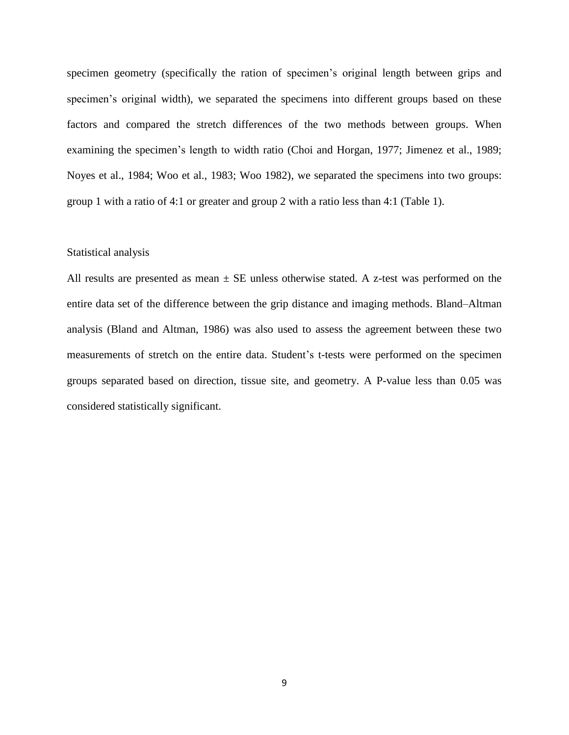specimen geometry (specifically the ration of specimen's original length between grips and specimen's original width), we separated the specimens into different groups based on these factors and compared the stretch differences of the two methods between groups. When examining the specimen's length to width ratio (Choi and Horgan, 1977; Jimenez et al., 1989; Noyes et al., 1984; Woo et al., 1983; Woo 1982), we separated the specimens into two groups: group 1 with a ratio of 4:1 or greater and group 2 with a ratio less than 4:1 (Table 1).

# Statistical analysis

All results are presented as mean  $\pm$  SE unless otherwise stated. A z-test was performed on the entire data set of the difference between the grip distance and imaging methods. Bland–Altman analysis (Bland and Altman, 1986) was also used to assess the agreement between these two measurements of stretch on the entire data. Student's t-tests were performed on the specimen groups separated based on direction, tissue site, and geometry. A P-value less than 0.05 was considered statistically significant.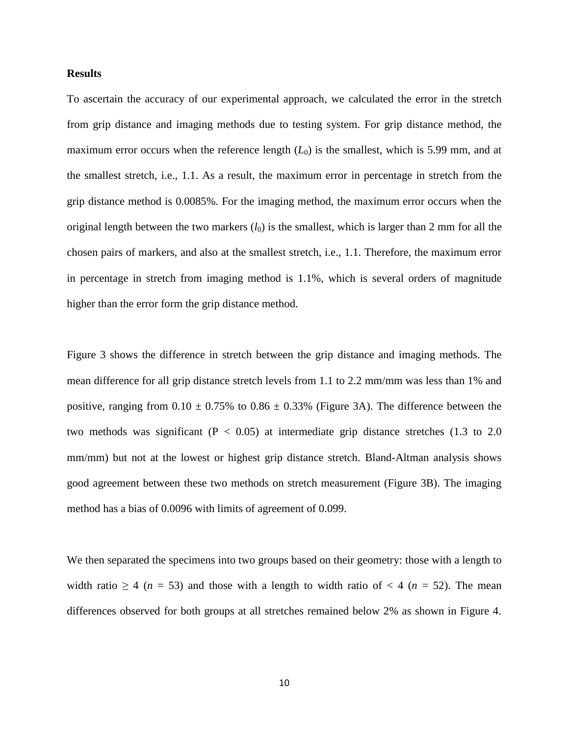### **Results**

To ascertain the accuracy of our experimental approach, we calculated the error in the stretch from grip distance and imaging methods due to testing system. For grip distance method, the maximum error occurs when the reference length  $(L_0)$  is the smallest, which is 5.99 mm, and at the smallest stretch, i.e., 1.1. As a result, the maximum error in percentage in stretch from the grip distance method is 0.0085%. For the imaging method, the maximum error occurs when the original length between the two markers  $(l_0)$  is the smallest, which is larger than 2 mm for all the chosen pairs of markers, and also at the smallest stretch, i.e., 1.1. Therefore, the maximum error in percentage in stretch from imaging method is 1.1%, which is several orders of magnitude higher than the error form the grip distance method.

Figure 3 shows the difference in stretch between the grip distance and imaging methods. The mean difference for all grip distance stretch levels from 1.1 to 2.2 mm/mm was less than 1% and positive, ranging from  $0.10 \pm 0.75\%$  to  $0.86 \pm 0.33\%$  (Figure 3A). The difference between the two methods was significant ( $P < 0.05$ ) at intermediate grip distance stretches (1.3 to 2.0 mm/mm) but not at the lowest or highest grip distance stretch. Bland-Altman analysis shows good agreement between these two methods on stretch measurement (Figure 3B). The imaging method has a bias of 0.0096 with limits of agreement of 0.099.

We then separated the specimens into two groups based on their geometry: those with a length to width ratio  $\geq 4$  ( $n = 53$ ) and those with a length to width ratio of  $\lt 4$  ( $n = 52$ ). The mean differences observed for both groups at all stretches remained below 2% as shown in Figure 4.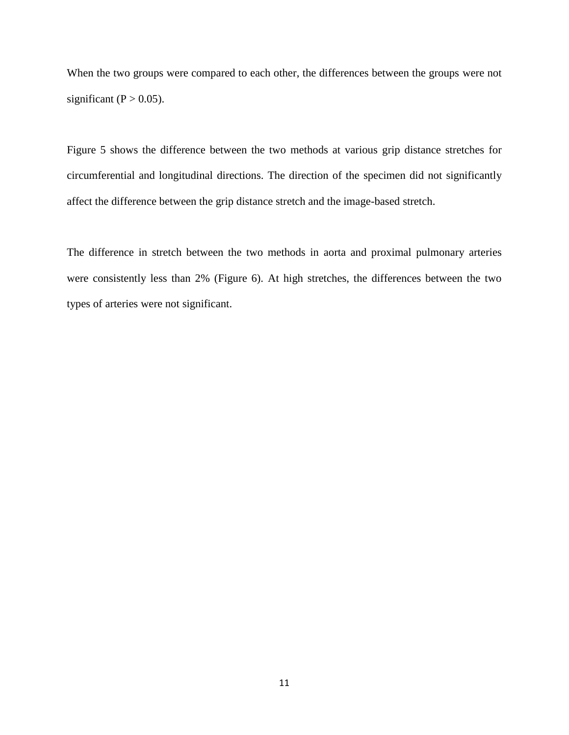When the two groups were compared to each other, the differences between the groups were not significant ( $P > 0.05$ ).

Figure 5 shows the difference between the two methods at various grip distance stretches for circumferential and longitudinal directions. The direction of the specimen did not significantly affect the difference between the grip distance stretch and the image-based stretch.

The difference in stretch between the two methods in aorta and proximal pulmonary arteries were consistently less than 2% (Figure 6). At high stretches, the differences between the two types of arteries were not significant.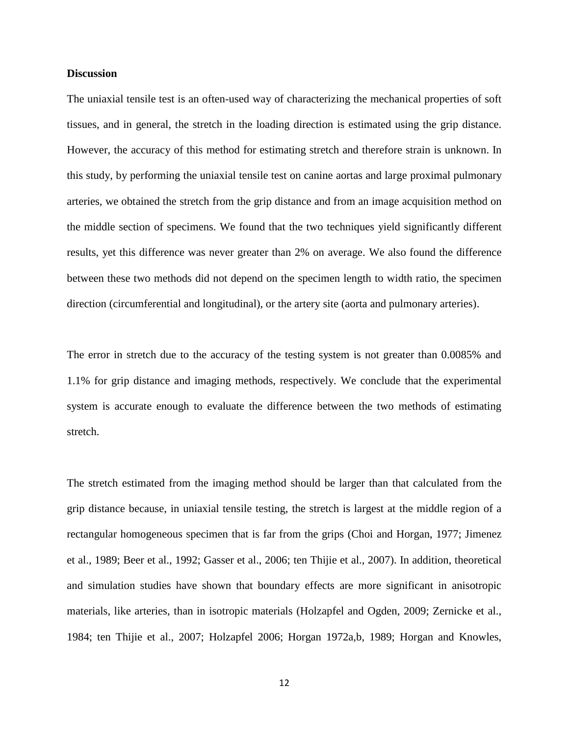#### **Discussion**

The uniaxial tensile test is an often-used way of characterizing the mechanical properties of soft tissues, and in general, the stretch in the loading direction is estimated using the grip distance. However, the accuracy of this method for estimating stretch and therefore strain is unknown. In this study, by performing the uniaxial tensile test on canine aortas and large proximal pulmonary arteries, we obtained the stretch from the grip distance and from an image acquisition method on the middle section of specimens. We found that the two techniques yield significantly different results, yet this difference was never greater than 2% on average. We also found the difference between these two methods did not depend on the specimen length to width ratio, the specimen direction (circumferential and longitudinal), or the artery site (aorta and pulmonary arteries).

The error in stretch due to the accuracy of the testing system is not greater than 0.0085% and 1.1% for grip distance and imaging methods, respectively. We conclude that the experimental system is accurate enough to evaluate the difference between the two methods of estimating stretch.

The stretch estimated from the imaging method should be larger than that calculated from the grip distance because, in uniaxial tensile testing, the stretch is largest at the middle region of a rectangular homogeneous specimen that is far from the grips (Choi and Horgan, 1977; Jimenez et al., 1989; Beer et al., 1992; Gasser et al., 2006; ten Thijie et al., 2007). In addition, theoretical and simulation studies have shown that boundary effects are more significant in anisotropic materials, like arteries, than in isotropic materials (Holzapfel and Ogden, 2009; Zernicke et al., 1984; ten Thijie et al., 2007; Holzapfel 2006; Horgan 1972a,b, 1989; Horgan and Knowles,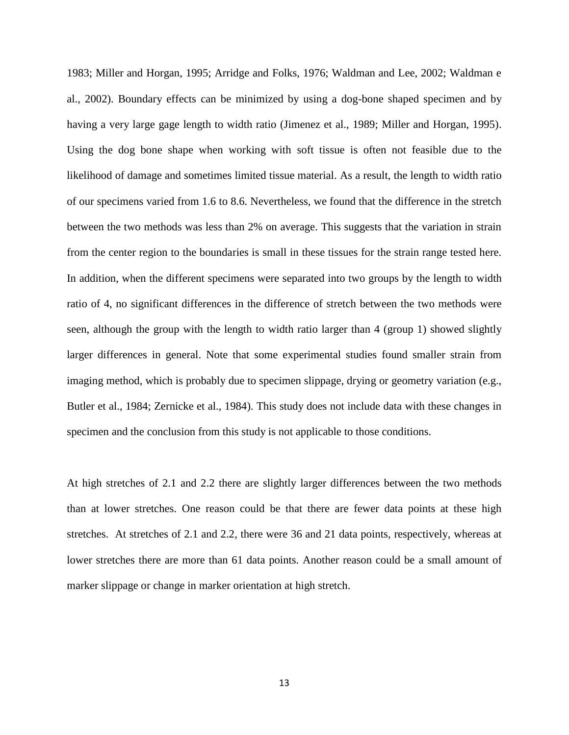1983; Miller and Horgan, 1995; Arridge and Folks, 1976; Waldman and Lee, 2002; Waldman e al., 2002). Boundary effects can be minimized by using a dog-bone shaped specimen and by having a very large gage length to width ratio (Jimenez et al., 1989; Miller and Horgan, 1995). Using the dog bone shape when working with soft tissue is often not feasible due to the likelihood of damage and sometimes limited tissue material. As a result, the length to width ratio of our specimens varied from 1.6 to 8.6. Nevertheless, we found that the difference in the stretch between the two methods was less than 2% on average. This suggests that the variation in strain from the center region to the boundaries is small in these tissues for the strain range tested here. In addition, when the different specimens were separated into two groups by the length to width ratio of 4, no significant differences in the difference of stretch between the two methods were seen, although the group with the length to width ratio larger than 4 (group 1) showed slightly larger differences in general. Note that some experimental studies found smaller strain from imaging method, which is probably due to specimen slippage, drying or geometry variation (e.g., Butler et al., 1984; Zernicke et al., 1984). This study does not include data with these changes in specimen and the conclusion from this study is not applicable to those conditions.

At high stretches of 2.1 and 2.2 there are slightly larger differences between the two methods than at lower stretches. One reason could be that there are fewer data points at these high stretches. At stretches of 2.1 and 2.2, there were 36 and 21 data points, respectively, whereas at lower stretches there are more than 61 data points. Another reason could be a small amount of marker slippage or change in marker orientation at high stretch.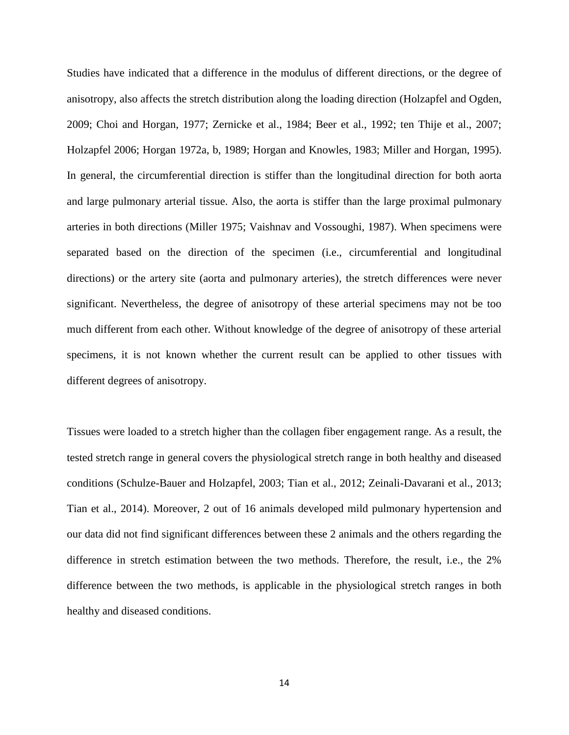Studies have indicated that a difference in the modulus of different directions, or the degree of anisotropy, also affects the stretch distribution along the loading direction (Holzapfel and Ogden, 2009; Choi and Horgan, 1977; Zernicke et al., 1984; Beer et al., 1992; ten Thije et al., 2007; Holzapfel 2006; Horgan 1972a, b, 1989; Horgan and Knowles, 1983; Miller and Horgan, 1995). In general, the circumferential direction is stiffer than the longitudinal direction for both aorta and large pulmonary arterial tissue. Also, the aorta is stiffer than the large proximal pulmonary arteries in both directions (Miller 1975; Vaishnav and Vossoughi, 1987). When specimens were separated based on the direction of the specimen (i.e., circumferential and longitudinal directions) or the artery site (aorta and pulmonary arteries), the stretch differences were never significant. Nevertheless, the degree of anisotropy of these arterial specimens may not be too much different from each other. Without knowledge of the degree of anisotropy of these arterial specimens, it is not known whether the current result can be applied to other tissues with different degrees of anisotropy.

Tissues were loaded to a stretch higher than the collagen fiber engagement range. As a result, the tested stretch range in general covers the physiological stretch range in both healthy and diseased conditions (Schulze-Bauer and Holzapfel, 2003; Tian et al., 2012; Zeinali-Davarani et al., 2013; Tian et al., 2014). Moreover, 2 out of 16 animals developed mild pulmonary hypertension and our data did not find significant differences between these 2 animals and the others regarding the difference in stretch estimation between the two methods. Therefore, the result, i.e., the 2% difference between the two methods, is applicable in the physiological stretch ranges in both healthy and diseased conditions.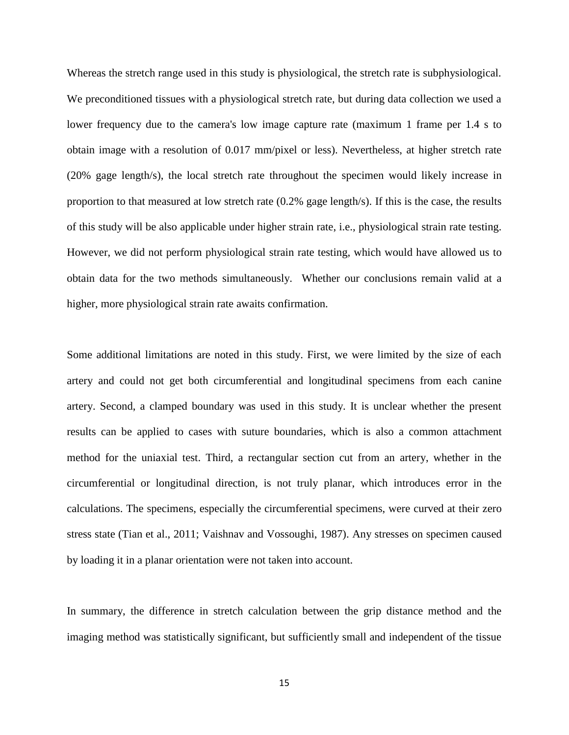Whereas the stretch range used in this study is physiological, the stretch rate is subphysiological. We preconditioned tissues with a physiological stretch rate, but during data collection we used a lower frequency due to the camera's low image capture rate (maximum 1 frame per 1.4 s to obtain image with a resolution of 0.017 mm/pixel or less). Nevertheless, at higher stretch rate (20% gage length/s), the local stretch rate throughout the specimen would likely increase in proportion to that measured at low stretch rate (0.2% gage length/s). If this is the case, the results of this study will be also applicable under higher strain rate, i.e., physiological strain rate testing. However, we did not perform physiological strain rate testing, which would have allowed us to obtain data for the two methods simultaneously. Whether our conclusions remain valid at a higher, more physiological strain rate awaits confirmation.

Some additional limitations are noted in this study. First, we were limited by the size of each artery and could not get both circumferential and longitudinal specimens from each canine artery. Second, a clamped boundary was used in this study. It is unclear whether the present results can be applied to cases with suture boundaries, which is also a common attachment method for the uniaxial test. Third, a rectangular section cut from an artery, whether in the circumferential or longitudinal direction, is not truly planar, which introduces error in the calculations. The specimens, especially the circumferential specimens, were curved at their zero stress state (Tian et al., 2011; Vaishnav and Vossoughi, 1987). Any stresses on specimen caused by loading it in a planar orientation were not taken into account.

In summary, the difference in stretch calculation between the grip distance method and the imaging method was statistically significant, but sufficiently small and independent of the tissue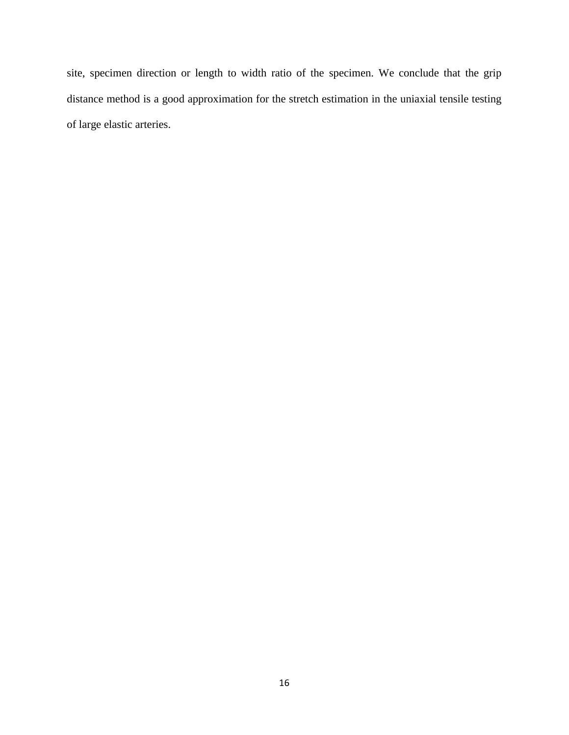site, specimen direction or length to width ratio of the specimen. We conclude that the grip distance method is a good approximation for the stretch estimation in the uniaxial tensile testing of large elastic arteries.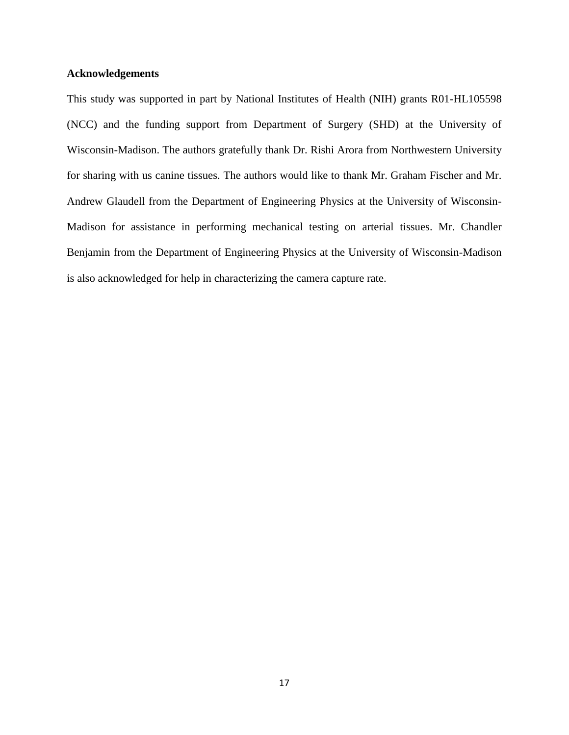# **Acknowledgements**

This study was supported in part by National Institutes of Health (NIH) grants R01-HL105598 (NCC) and the funding support from Department of Surgery (SHD) at the University of Wisconsin-Madison. The authors gratefully thank Dr. Rishi Arora from Northwestern University for sharing with us canine tissues. The authors would like to thank Mr. Graham Fischer and Mr. Andrew Glaudell from the Department of Engineering Physics at the University of Wisconsin-Madison for assistance in performing mechanical testing on arterial tissues. Mr. [Chandler](mailto:ccbenjamin@wisc.edu)  [Benjamin](mailto:ccbenjamin@wisc.edu) from the Department of Engineering Physics at the University of Wisconsin-Madison is also acknowledged for help in characterizing the camera capture rate.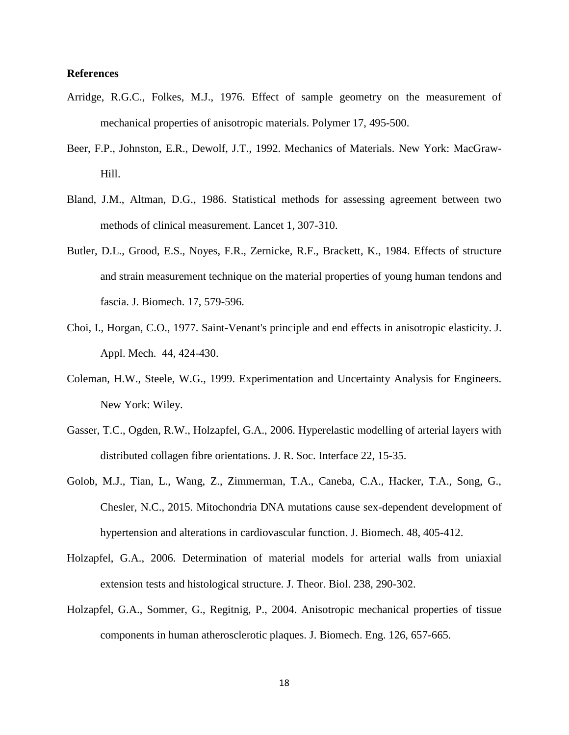# **References**

- Arridge, R.G.C., Folkes, M.J., 1976. Effect of sample geometry on the measurement of mechanical properties of anisotropic materials. Polymer 17, 495-500.
- Beer, F.P., Johnston, E.R., Dewolf, J.T., 1992. Mechanics of Materials. New York: MacGraw-Hill.
- Bland, J.M., Altman, D.G., 1986. Statistical methods for assessing agreement between two methods of clinical measurement. Lancet 1, 307-310.
- Butler, D.L., Grood, E.S., Noyes, F.R., Zernicke, R.F., Brackett, K., 1984. Effects of structure and strain measurement technique on the material properties of young human tendons and fascia. J. Biomech. 17, 579-596.
- Choi, I., Horgan, C.O., 1977. Saint-Venant's principle and end effects in anisotropic elasticity. J. Appl. Mech. 44, 424-430.
- Coleman, H.W., Steele, W.G., 1999. Experimentation and Uncertainty Analysis for Engineers. New York: Wiley.
- [Gasser,](http://www.ncbi.nlm.nih.gov/pubmed?term=Gasser%20TC%5BAuthor%5D&cauthor=true&cauthor_uid=16849214) T.C., [Ogden,](http://www.ncbi.nlm.nih.gov/pubmed?term=Ogden%20RW%5BAuthor%5D&cauthor=true&cauthor_uid=16849214) R.W., [Holzapfel,](http://www.ncbi.nlm.nih.gov/pubmed?term=Holzapfel%20GA%5BAuthor%5D&cauthor=true&cauthor_uid=16849214) G.A., 2006. Hyperelastic modelling of arterial layers with distributed collagen fibre orientations. [J. R. Soc.](http://www.ncbi.nlm.nih.gov/pubmed/16849214) Interface 22, 15-35.
- Golob, M.J., Tian, L., Wang, Z., Zimmerman, T.A., Caneba, C.A., Hacker, T.A., Song, G., Chesler, N.C., 2015. Mitochondria DNA mutations cause sex-dependent development of hypertension and alterations in cardiovascular function. J. Biomech. 48, 405-412.
- Holzapfel, G.A., 2006. Determination of material models for arterial walls from uniaxial extension tests and histological structure. J. Theor. Biol. 238, 290-302.
- Holzapfel, G.A., Sommer, G., Regitnig, P., 2004. Anisotropic mechanical properties of tissue components in human atherosclerotic plaques. J. Biomech. Eng. 126, 657-665.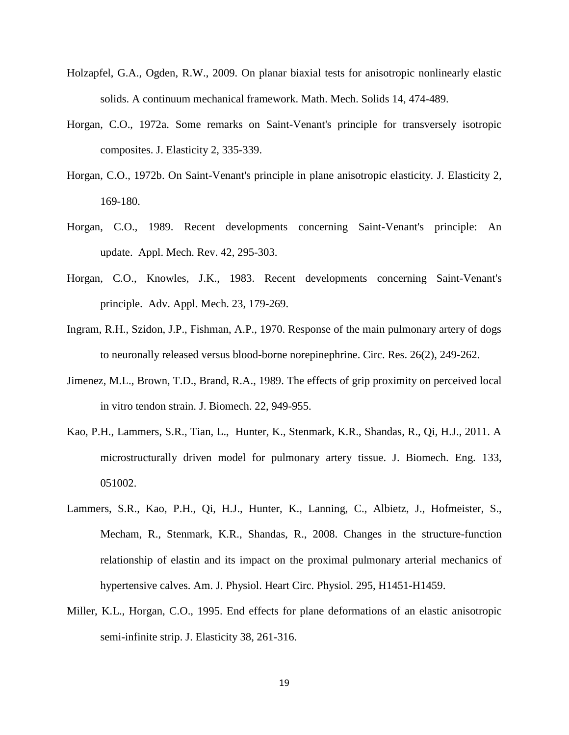- Holzapfel, G.A., Ogden, R.W., 2009. On planar biaxial tests for anisotropic nonlinearly elastic solids. A continuum mechanical framework. Math. Mech. Solids 14, 474-489.
- Horgan, C.O., 1972a. Some remarks on Saint-Venant's principle for transversely isotropic composites. J. Elasticity 2, 335-339.
- Horgan, C.O., 1972b. On Saint-Venant's principle in plane anisotropic elasticity. J. Elasticity 2, 169-180.
- Horgan, C.O., 1989. Recent developments concerning Saint-Venant's principle: An update. Appl. Mech. Rev. 42, 295-303.
- Horgan, C.O., Knowles, J.K., 1983. Recent developments concerning Saint-Venant's principle. Adv. Appl. Mech. 23, 179-269.
- Ingram, R.H., Szidon, J.P., Fishman, A.P., 1970. Response of the main pulmonary artery of dogs to neuronally released versus blood-borne norepinephrine. Circ. Res. 26(2), 249-262.
- Jimenez, M.L., Brown, T.D., Brand, R.A., 1989. The effects of grip proximity on perceived local in vitro tendon strain. J. Biomech. 22, 949-955.
- Kao, P.H., Lammers, S.R., Tian, L., Hunter, K., Stenmark, K.R., Shandas, R., Qi, H.J., 2011. A microstructurally driven model for pulmonary artery tissue. J. Biomech. Eng. 133, 051002.
- Lammers, S.R., Kao, P.H., Qi, H.J., Hunter, K., Lanning, C., Albietz, J., Hofmeister, S., Mecham, R., Stenmark, K.R., Shandas, R., 2008. Changes in the structure-function relationship of elastin and its impact on the proximal pulmonary arterial mechanics of hypertensive calves. Am. J. Physiol. Heart Circ. Physiol. 295, H1451-H1459.
- Miller, K.L., Horgan, C.O., 1995. End effects for plane deformations of an elastic anisotropic semi-infinite strip. J. Elasticity 38, 261-316.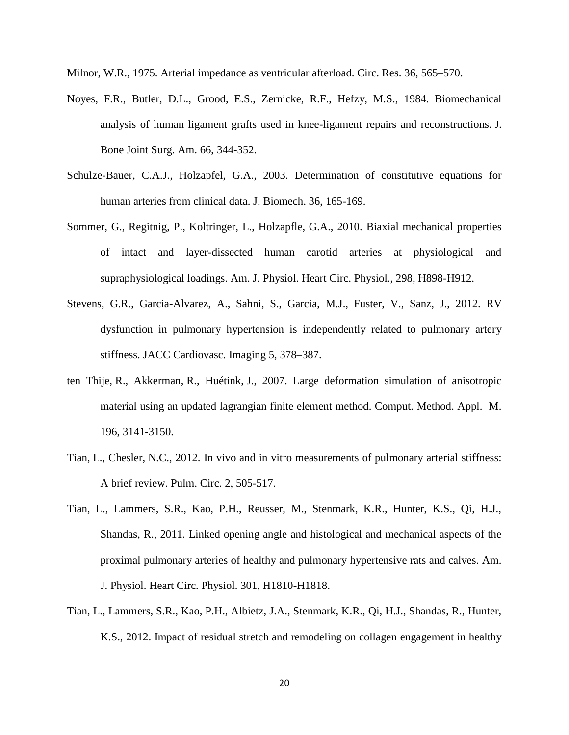Milnor, W.R., 1975. Arterial impedance as ventricular afterload. Circ. Res. 36, 565–570.

- Noyes, F.R., Butler, D.L., Grood, E.S., Zernicke, R.F., Hefzy, M.S., 1984. Biomechanical analysis of human ligament grafts used in knee-ligament repairs and reconstructions. J. Bone Joint Surg. Am. 66, 344-352.
- Schulze-Bauer, C.A.J., Holzapfel, G.A., 2003. Determination of constitutive equations for human arteries from clinical data. J. Biomech. 36, 165-169.
- Sommer, G., Regitnig, P., Koltringer, L., Holzapfle, G.A., 2010. Biaxial mechanical properties of intact and layer-dissected human carotid arteries at physiological and supraphysiological loadings. Am. J. Physiol. Heart Circ. Physiol., 298, H898-H912.
- Stevens, G.R., Garcia-Alvarez, A., Sahni, S., [Garcia,](http://www.ncbi.nlm.nih.gov/pubmed?term=Garcia%20MJ%5BAuthor%5D&cauthor=true&cauthor_uid=22498327) M.J., [Fuster,](http://www.ncbi.nlm.nih.gov/pubmed?term=Fuster%20V%5BAuthor%5D&cauthor=true&cauthor_uid=22498327) V., [Sanz,](http://www.ncbi.nlm.nih.gov/pubmed?term=Sanz%20J%5BAuthor%5D&cauthor=true&cauthor_uid=22498327) J., 2012. RV dysfunction in pulmonary hypertension is independently related to pulmonary artery stiffness. JACC Cardiovasc. Imaging 5, 378–387.
- ten Thije, R., Akkerman, R., Huétink, J., 2007. Large deformation simulation of anisotropic material using an updated lagrangian finite element method. Comput. Method. Appl. M. 196, 3141-3150.
- Tian, L., Chesler, N.C., 2012. In vivo and in vitro measurements of pulmonary arterial stiffness: A brief review. Pulm. Circ. 2, 505-517.
- Tian, L., Lammers, S.R., Kao, P.H., Reusser, M., Stenmark, K.R., Hunter, K.S., Qi, H.J., Shandas, R., 2011. Linked opening angle and histological and mechanical aspects of the proximal pulmonary arteries of healthy and pulmonary hypertensive rats and calves. Am. J. Physiol. Heart Circ. Physiol. 301, H1810-H1818.
- Tian, L., Lammers, S.R., Kao, P.H., Albietz, J.A., Stenmark, K.R., Qi, H.J., Shandas, R., Hunter, K.S., 2012. Impact of residual stretch and remodeling on collagen engagement in healthy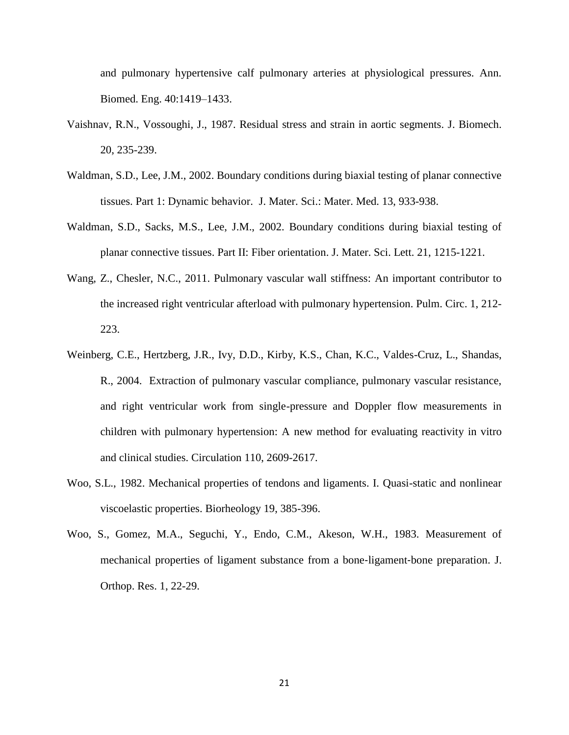and pulmonary hypertensive calf pulmonary arteries at physiological pressures. Ann. Biomed. Eng. 40:1419–1433.

- [Vaishnav,](http://www.ncbi.nlm.nih.gov/pubmed?term=Vaishnav%20RN%5BAuthor%5D&cauthor=true&cauthor_uid=3584149) R.N., [Vossoughi,](http://www.ncbi.nlm.nih.gov/pubmed?term=Vossoughi%20J%5BAuthor%5D&cauthor=true&cauthor_uid=3584149) J., 1987. Residual stress and strain in aortic segments. [J. Biomech.](http://www.ncbi.nlm.nih.gov/pubmed/3584149) 20, 235-239.
- Waldman, S.D., Lee, J.M., 2002. Boundary conditions during biaxial testing of planar connective tissues. Part 1: Dynamic behavior. J. Mater. Sci.: Mater. Med. 13, 933-938.
- Waldman, S.D., Sacks, M.S., Lee, J.M., 2002. Boundary conditions during biaxial testing of planar connective tissues. Part II: Fiber orientation. J. Mater. Sci. Lett. 21, 1215-1221.
- [Wang,](http://www.ncbi.nlm.nih.gov/pubmed?term=Wang%20Z%5BAuthor%5D&cauthor=true&cauthor_uid=22034607) Z., [Chesler,](http://www.ncbi.nlm.nih.gov/pubmed?term=Chesler%20NC%5BAuthor%5D&cauthor=true&cauthor_uid=22034607) N.C., 2011. Pulmonary vascular wall stiffness: An important contributor to the increased right ventricular afterload with pulmonary hypertension. [Pulm. Circ.](http://www.ncbi.nlm.nih.gov/pubmed/22034607) 1, 212- 223.
- Weinberg, C.E., Hertzberg, J.R., Ivy, D.D., Kirby, K.S., Chan, K.C., Valdes-Cruz, L., Shandas, R., 2004. Extraction of pulmonary vascular compliance, pulmonary vascular resistance, and right ventricular work from single-pressure and Doppler flow measurements in children with pulmonary hypertension: A new method for evaluating reactivity in vitro and clinical studies. Circulation 110, 2609-2617.
- Woo, S.L., 1982. Mechanical properties of tendons and ligaments. I. Quasi-static and nonlinear viscoelastic properties. Biorheology 19, 385-396.
- Woo, S., Gomez, M.A., Seguchi, Y., Endo, C.M., Akeson, W.H., 1983. Measurement of mechanical properties of ligament substance from a bone‐ligament‐bone preparation. J. Orthop. Res. 1, 22-29.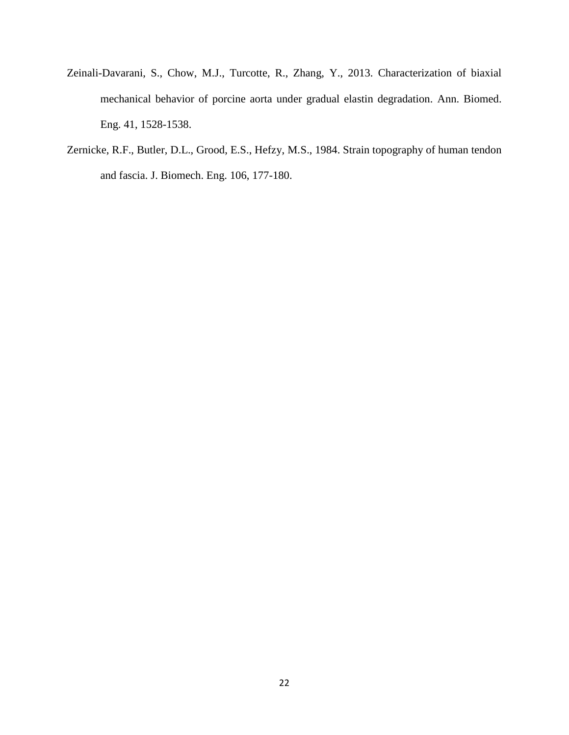- Zeinali-Davarani, S., Chow, M.J., Turcotte, R., Zhang, Y., 2013. Characterization of biaxial mechanical behavior of porcine aorta under gradual elastin degradation. Ann. Biomed. Eng. 41, 1528-1538.
- Zernicke, R.F., Butler, D.L., Grood, E.S., Hefzy, M.S., 1984. Strain topography of human tendon and fascia. J. Biomech. Eng. 106, 177-180.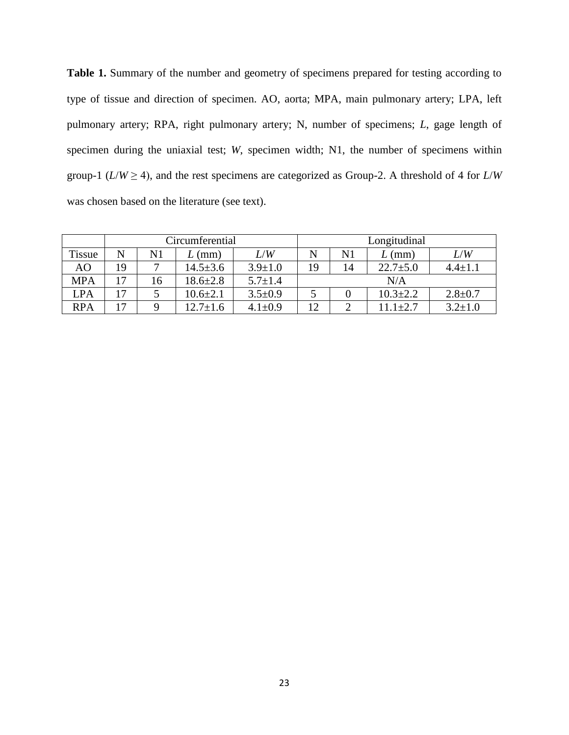Table 1. Summary of the number and geometry of specimens prepared for testing according to type of tissue and direction of specimen. AO, aorta; MPA, main pulmonary artery; LPA, left pulmonary artery; RPA, right pulmonary artery; N, number of specimens; *L*, gage length of specimen during the uniaxial test; *W*, specimen width; N1, the number of specimens within group-1 ( $L/W \ge 4$ ), and the rest specimens are categorized as Group-2. A threshold of 4 for  $L/W$ was chosen based on the literature (see text).

|               | Circumferential |    |                |               | Longitudinal |    |                |               |
|---------------|-----------------|----|----------------|---------------|--------------|----|----------------|---------------|
| <b>Tissue</b> | N               | N1 | $L$ (mm)       | L/W           |              | N1 | (mm)           | L/W           |
| AO            | 19              | ⇁  | $14.5 \pm 3.6$ | $3.9 \pm 1.0$ | 19           | 14 | $22.7 \pm 5.0$ | $4.4 + 1.$    |
| <b>MPA</b>    | 17              | 16 | $18.6 \pm 2.8$ | $5.7 \pm 1.4$ | N/A          |    |                |               |
| <b>LPA</b>    | 17              |    | $10.6 \pm 2.1$ | $3.5 \pm 0.9$ |              |    | $10.3 \pm 2.2$ | $2.8 + 0.7$   |
| <b>RPA</b>    | 17              | Q  | $12.7 + 1.6$   | $4.1 \pm 0.9$ | 12           |    | $11.1 \pm 2.7$ | $3.2 \pm 1.0$ |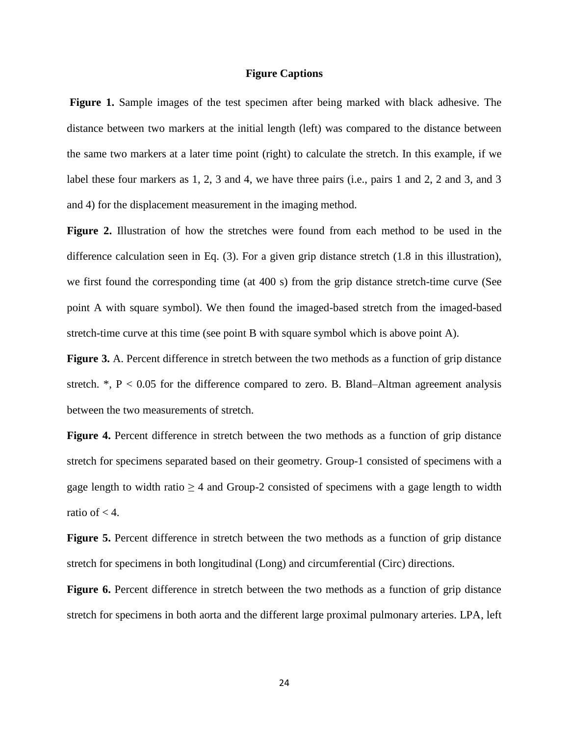# **Figure Captions**

**Figure 1.** Sample images of the test specimen after being marked with black adhesive. The distance between two markers at the initial length (left) was compared to the distance between the same two markers at a later time point (right) to calculate the stretch. In this example, if we label these four markers as 1, 2, 3 and 4, we have three pairs (i.e., pairs 1 and 2, 2 and 3, and 3 and 4) for the displacement measurement in the imaging method.

**Figure 2.** Illustration of how the stretches were found from each method to be used in the difference calculation seen in Eq. (3). For a given grip distance stretch (1.8 in this illustration), we first found the corresponding time (at 400 s) from the grip distance stretch-time curve (See point A with square symbol). We then found the imaged-based stretch from the imaged-based stretch-time curve at this time (see point B with square symbol which is above point A).

**Figure 3.** A. Percent difference in stretch between the two methods as a function of grip distance stretch.  $^*$ , P < 0.05 for the difference compared to zero. B. Bland–Altman agreement analysis between the two measurements of stretch.

**Figure 4.** Percent difference in stretch between the two methods as a function of grip distance stretch for specimens separated based on their geometry. Group-1 consisted of specimens with a gage length to width ratio  $\geq 4$  and Group-2 consisted of specimens with a gage length to width ratio of  $< 4$ .

**Figure 5.** Percent difference in stretch between the two methods as a function of grip distance stretch for specimens in both longitudinal (Long) and circumferential (Circ) directions.

**Figure 6.** Percent difference in stretch between the two methods as a function of grip distance stretch for specimens in both aorta and the different large proximal pulmonary arteries. LPA, left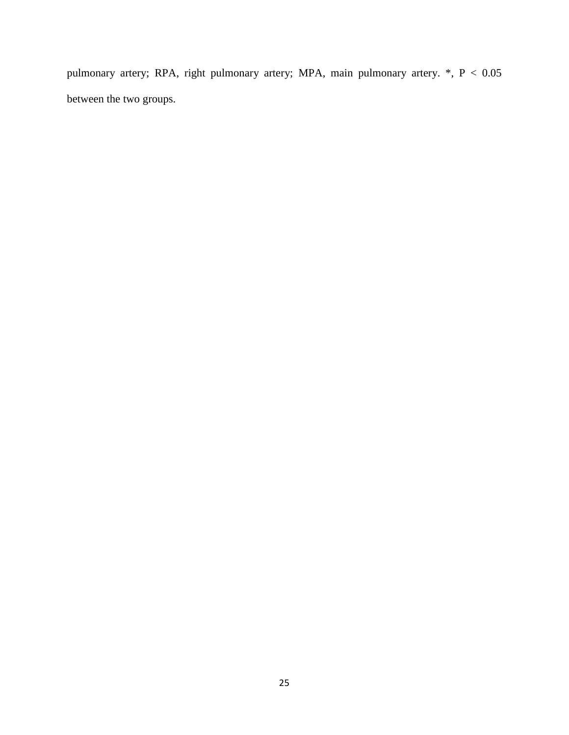pulmonary artery; RPA, right pulmonary artery; MPA, main pulmonary artery. \*, P < 0.05 between the two groups.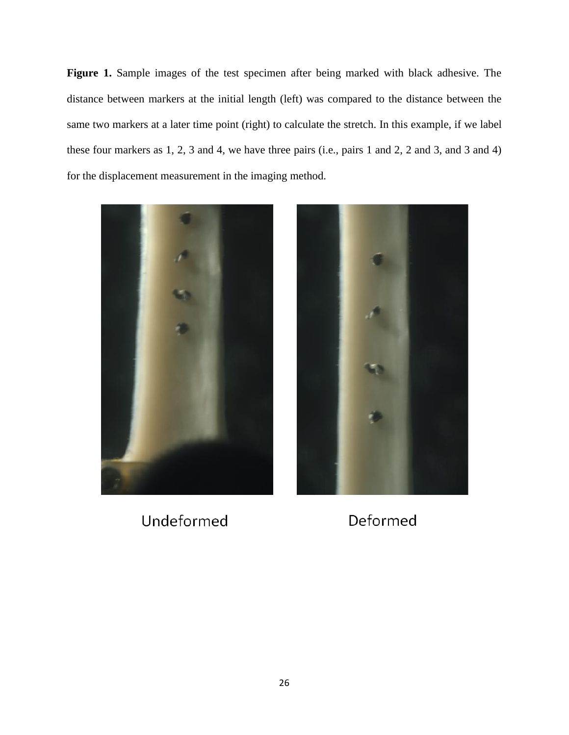**Figure 1.** Sample images of the test specimen after being marked with black adhesive. The distance between markers at the initial length (left) was compared to the distance between the same two markers at a later time point (right) to calculate the stretch. In this example, if we label these four markers as 1, 2, 3 and 4, we have three pairs (i.e., pairs 1 and 2, 2 and 3, and 3 and 4) for the displacement measurement in the imaging method.



Undeformed



Deformed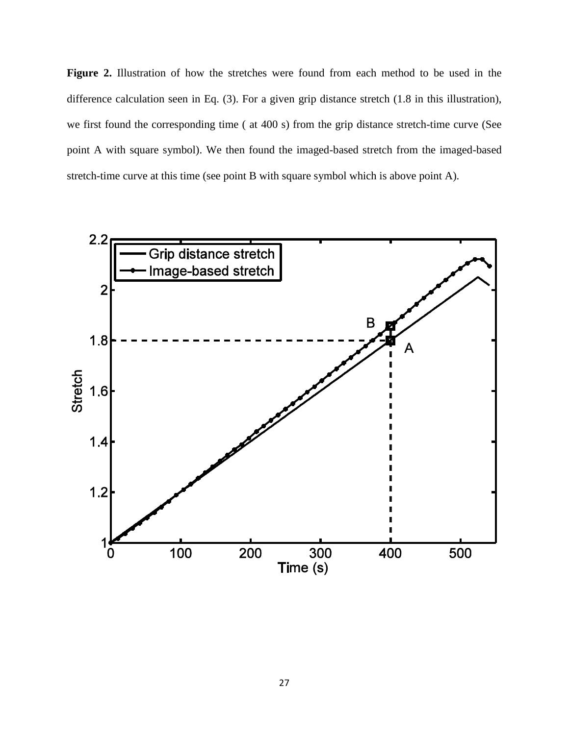**Figure 2.** Illustration of how the stretches were found from each method to be used in the difference calculation seen in Eq. (3). For a given grip distance stretch (1.8 in this illustration), we first found the corresponding time ( at 400 s) from the grip distance stretch-time curve (See point A with square symbol). We then found the imaged-based stretch from the imaged-based stretch-time curve at this time (see point B with square symbol which is above point A).

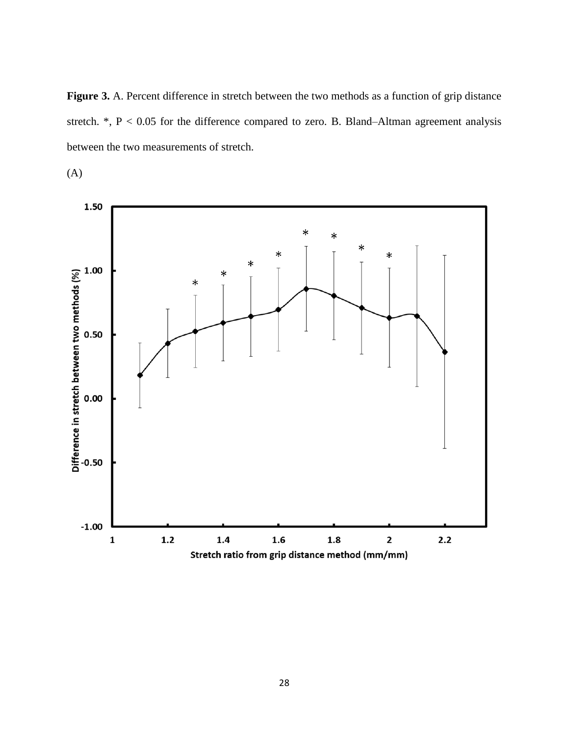**Figure 3.** A. Percent difference in stretch between the two methods as a function of grip distance stretch.  $*, P < 0.05$  for the difference compared to zero. B. Bland–Altman agreement analysis between the two measurements of stretch.

(A)

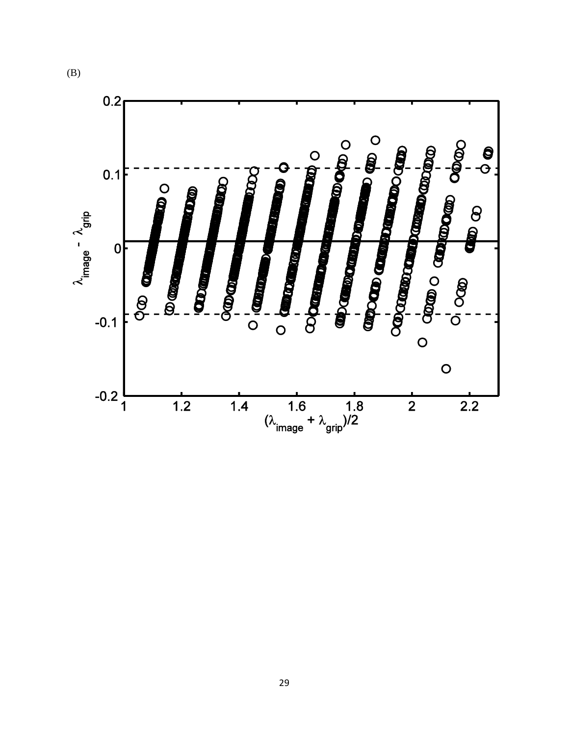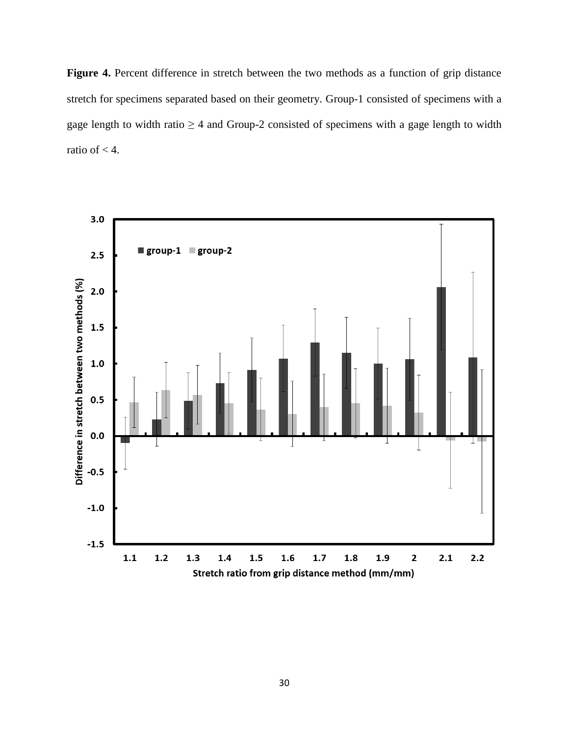**Figure 4.** Percent difference in stretch between the two methods as a function of grip distance stretch for specimens separated based on their geometry. Group-1 consisted of specimens with a gage length to width ratio  $\geq 4$  and Group-2 consisted of specimens with a gage length to width ratio of < 4.

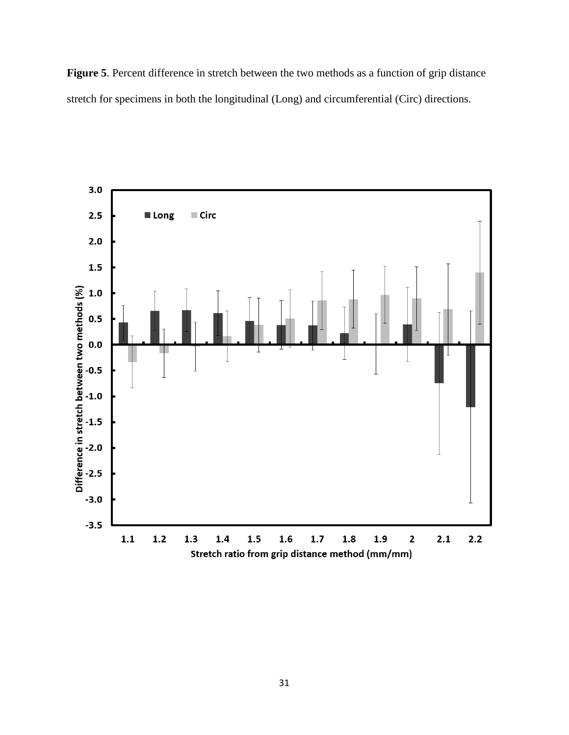**Figure 5**. Percent difference in stretch between the two methods as a function of grip distance stretch for specimens in both the longitudinal (Long) and circumferential (Circ) directions.